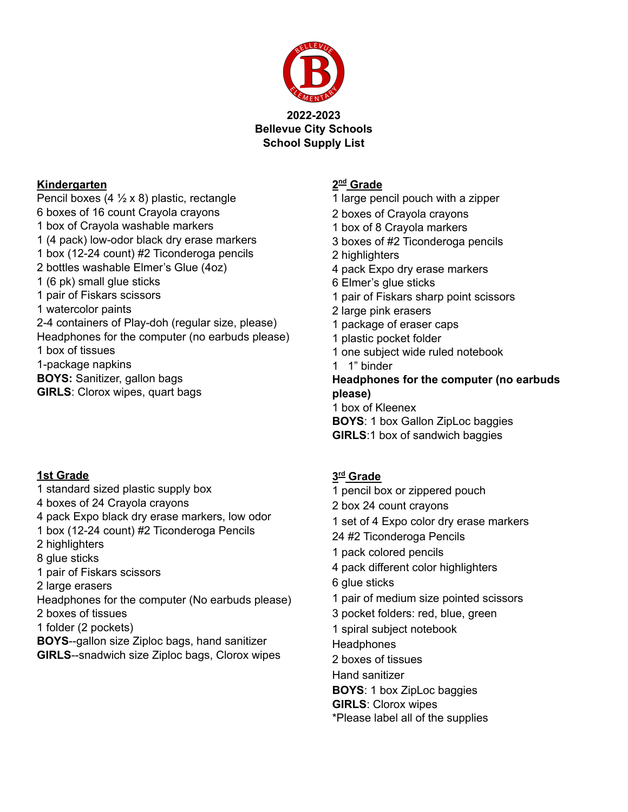

#### **Kindergarten**

Pencil boxes  $(4 \frac{1}{2} \times 8)$  plastic, rectangle boxes of 16 count Crayola crayons box of Crayola washable markers (4 pack) low-odor black dry erase markers box (12-24 count) #2 Ticonderoga pencils bottles washable Elmer's Glue (4oz) (6 pk) small glue sticks pair of Fiskars scissors watercolor paints 2-4 containers of Play-doh (regular size, please) Headphones for the computer (no earbuds please) box of tissues 1-package napkins **BOYS:** Sanitizer, gallon bags **GIRLS**: Clorox wipes, quart bags

#### **1st Grade**

 standard sized plastic supply box boxes of 24 Crayola crayons pack Expo black dry erase markers, low odor box (12-24 count) #2 Ticonderoga Pencils highlighters glue sticks pair of Fiskars scissors large erasers Headphones for the computer (No earbuds please) boxes of tissues folder (2 pockets) **BOYS**--gallon size Ziploc bags, hand sanitizer **GIRLS**--snadwich size Ziploc bags, Clorox wipes

### **nd Grade**

- large pencil pouch with a zipper
- boxes of Crayola crayons
- box of 8 Crayola markers
- boxes of #2 Ticonderoga pencils
- highlighters
- pack Expo dry erase markers
- Elmer's glue sticks
- pair of Fiskars sharp point scissors
- large pink erasers
- package of eraser caps
- plastic pocket folder
- one subject wide ruled notebook
- 1" binder

**Headphones for the computer (no earbuds please)**

- box of Kleenex
- **BOYS**: 1 box Gallon ZipLoc baggies
- **GIRLS**:1 box of sandwich baggies

#### **rd Grade**

- pencil box or zippered pouch box 24 count crayons set of 4 Expo color dry erase markers #2 Ticonderoga Pencils pack colored pencils pack different color highlighters glue sticks pair of medium size pointed scissors pocket folders: red, blue, green spiral subject notebook **Headphones**  boxes of tissues Hand sanitizer **BOYS**: 1 box ZipLoc baggies **GIRLS**: Clorox wipes
- \*Please label all of the supplies